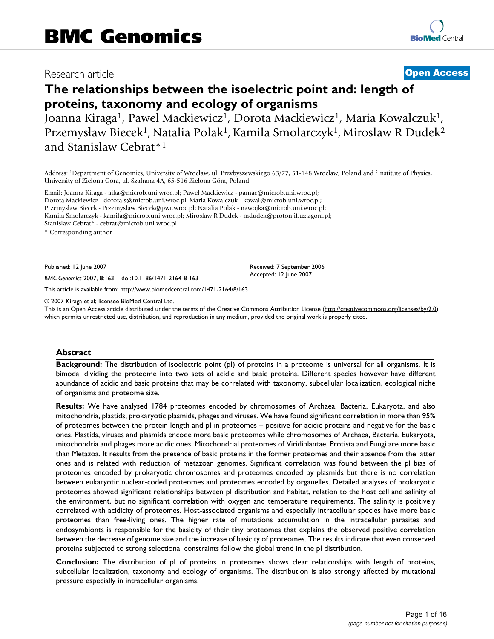## Research article **[Open Access](http://www.biomedcentral.com/info/about/charter/)**

# **The relationships between the isoelectric point and: length of proteins, taxonomy and ecology of organisms**

Joanna Kiraga<sup>1</sup>, Pawel Mackiewicz<sup>1</sup>, Dorota Mackiewicz<sup>1</sup>, Maria Kowalczuk<sup>1</sup>, Przemysław Biecek<sup>1</sup>, Natalia Polak<sup>1</sup>, Kamila Smolarczyk<sup>1</sup>, Miroslaw R Dudek<sup>2</sup> and Stanislaw Cebrat\*1

Address: 1Department of Genomics, University of Wrocław, ul. Przybyszewskiego 63/77, 51-148 Wrocław, Poland and 2Institute of Physics, University of Zielona Góra, ul. Szafrana 4A, 65-516 Zielona Góra, Poland

Email: Joanna Kiraga - aika@microb.uni.wroc.pl; Pawel Mackiewicz - pamac@microb.uni.wroc.pl; Dorota Mackiewicz - dorota.s@microb.uni.wroc.pl; Maria Kowalczuk - kowal@microb.uni.wroc.pl; Przemysław Biecek - Przemyslaw.Biecek@pwr.wroc.pl; Natalia Polak - nawojka@microb.uni.wroc.pl; Kamila Smolarczyk - kamila@microb.uni.wroc.pl; Miroslaw R Dudek - mdudek@proton.if.uz.zgora.pl; Stanislaw Cebrat\* - cebrat@microb.uni.wroc.pl

\* Corresponding author

Published: 12 June 2007

*BMC Genomics* 2007, **8**:163 doi:10.1186/1471-2164-8-163

[This article is available from: http://www.biomedcentral.com/1471-2164/8/163](http://www.biomedcentral.com/1471-2164/8/163)

© 2007 Kiraga et al; licensee BioMed Central Ltd.

This is an Open Access article distributed under the terms of the Creative Commons Attribution License [\(http://creativecommons.org/licenses/by/2.0\)](http://creativecommons.org/licenses/by/2.0), which permits unrestricted use, distribution, and reproduction in any medium, provided the original work is properly cited.

Received: 7 September 2006 Accepted: 12 June 2007

#### **Abstract**

**Background:** The distribution of isoelectric point (pI) of proteins in a proteome is universal for all organisms. It is bimodal dividing the proteome into two sets of acidic and basic proteins. Different species however have different abundance of acidic and basic proteins that may be correlated with taxonomy, subcellular localization, ecological niche of organisms and proteome size.

**Results:** We have analysed 1784 proteomes encoded by chromosomes of Archaea, Bacteria, Eukaryota, and also mitochondria, plastids, prokaryotic plasmids, phages and viruses. We have found significant correlation in more than 95% of proteomes between the protein length and pI in proteomes – positive for acidic proteins and negative for the basic ones. Plastids, viruses and plasmids encode more basic proteomes while chromosomes of Archaea, Bacteria, Eukaryota, mitochondria and phages more acidic ones. Mitochondrial proteomes of Viridiplantae, Protista and Fungi are more basic than Metazoa. It results from the presence of basic proteins in the former proteomes and their absence from the latter ones and is related with reduction of metazoan genomes. Significant correlation was found between the pI bias of proteomes encoded by prokaryotic chromosomes and proteomes encoded by plasmids but there is no correlation between eukaryotic nuclear-coded proteomes and proteomes encoded by organelles. Detailed analyses of prokaryotic proteomes showed significant relationships between pI distribution and habitat, relation to the host cell and salinity of the environment, but no significant correlation with oxygen and temperature requirements. The salinity is positively correlated with acidicity of proteomes. Host-associated organisms and especially intracellular species have more basic proteomes than free-living ones. The higher rate of mutations accumulation in the intracellular parasites and endosymbionts is responsible for the basicity of their tiny proteomes that explains the observed positive correlation between the decrease of genome size and the increase of basicity of proteomes. The results indicate that even conserved proteins subjected to strong selectional constraints follow the global trend in the pI distribution.

**Conclusion:** The distribution of pI of proteins in proteomes shows clear relationships with length of proteins, subcellular localization, taxonomy and ecology of organisms. The distribution is also strongly affected by mutational pressure especially in intracellular organisms.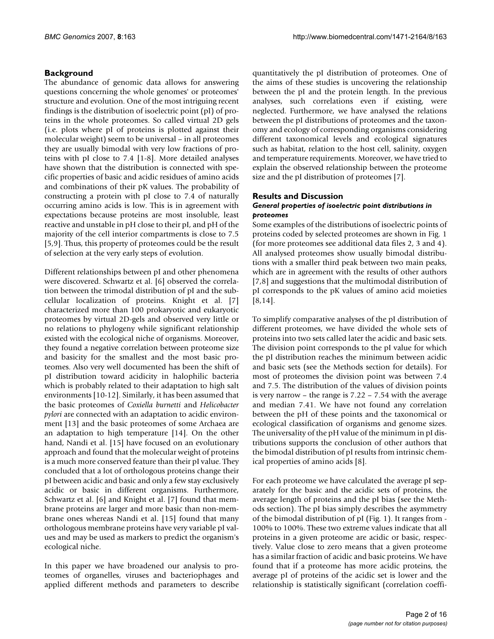## **Background**

The abundance of genomic data allows for answering questions concerning the whole genomes' or proteomes' structure and evolution. One of the most intriguing recent findings is the distribution of isoelectric point (pI) of proteins in the whole proteomes. So called virtual 2D gels (i.e. plots where pI of proteins is plotted against their molecular weight) seem to be universal – in all proteomes they are usually bimodal with very low fractions of proteins with pI close to 7.4 [1-8]. More detailed analyses have shown that the distribution is connected with specific properties of basic and acidic residues of amino acids and combinations of their pK values. The probability of constructing a protein with pI close to 7.4 of naturally occurring amino acids is low. This is in agreement with expectations because proteins are most insoluble, least reactive and unstable in pH close to their pI, and pH of the majority of the cell interior compartments is close to 7.5 [5,9]. Thus, this property of proteomes could be the result of selection at the very early steps of evolution.

Different relationships between pI and other phenomena were discovered. Schwartz et al. [6] observed the correlation between the trimodal distribution of pI and the subcellular localization of proteins. Knight et al. [7] characterized more than 100 prokaryotic and eukaryotic proteomes by virtual 2D-gels and observed very little or no relations to phylogeny while significant relationship existed with the ecological niche of organisms. Moreover, they found a negative correlation between proteome size and basicity for the smallest and the most basic proteomes. Also very well documented has been the shift of pI distribution toward acidicity in halophilic bacteria which is probably related to their adaptation to high salt environments [10-12]. Similarly, it has been assumed that the basic proteomes of *Coxiella burnetti* and *Helicobacter pylori* are connected with an adaptation to acidic environment [13] and the basic proteomes of some Archaea are an adaptation to high temperature [14]. On the other hand, Nandi et al. [15] have focused on an evolutionary approach and found that the molecular weight of proteins is a much more conserved feature than their pI value. They concluded that a lot of orthologous proteins change their pI between acidic and basic and only a few stay exclusively acidic or basic in different organisms. Furthermore, Schwartz et al. [6] and Knight et al. [7] found that membrane proteins are larger and more basic than non-membrane ones whereas Nandi et al. [15] found that many orthologous membrane proteins have very variable pI values and may be used as markers to predict the organism's ecological niche.

In this paper we have broadened our analysis to proteomes of organelles, viruses and bacteriophages and applied different methods and parameters to describe quantitatively the pI distribution of proteomes. One of the aims of these studies is uncovering the relationship between the pI and the protein length. In the previous analyses, such correlations even if existing, were neglected. Furthermore, we have analysed the relations between the pI distributions of proteomes and the taxonomy and ecology of corresponding organisms considering different taxonomical levels and ecological signatures such as habitat, relation to the host cell, salinity, oxygen and temperature requirements. Moreover, we have tried to explain the observed relationship between the proteome size and the pI distribution of proteomes [7].

### **Results and Discussion**

#### *General properties of isoelectric point distributions in proteomes*

Some examples of the distributions of isoelectric points of proteins coded by selected proteomes are shown in Fig. 1 (for more proteomes see additional data files 2, 3 and 4). All analysed proteomes show usually bimodal distributions with a smaller third peak between two main peaks, which are in agreement with the results of other authors [7,8] and suggestions that the multimodal distribution of pI corresponds to the pK values of amino acid moieties [8,14].

To simplify comparative analyses of the pI distribution of different proteomes, we have divided the whole sets of proteins into two sets called later the acidic and basic sets. The division point corresponds to the pI value for which the pI distribution reaches the minimum between acidic and basic sets (see the Methods section for details). For most of proteomes the division point was between 7.4 and 7.5. The distribution of the values of division points is very narrow – the range is 7.22 – 7.54 with the average and median 7.41. We have not found any correlation between the pH of these points and the taxonomical or ecological classification of organisms and genome sizes. The universality of the pH value of the minimum in pI distributions supports the conclusion of other authors that the bimodal distribution of pI results from intrinsic chemical properties of amino acids [8].

For each proteome we have calculated the average pI separately for the basic and the acidic sets of proteins, the average length of proteins and the pI bias (see the Methods section). The pI bias simply describes the asymmetry of the bimodal distribution of pI (Fig. 1). It ranges from - 100% to 100%. These two extreme values indicate that all proteins in a given proteome are acidic or basic, respectively. Value close to zero means that a given proteome has a similar fraction of acidic and basic proteins. We have found that if a proteome has more acidic proteins, the average pI of proteins of the acidic set is lower and the relationship is statistically significant (correlation coeffi-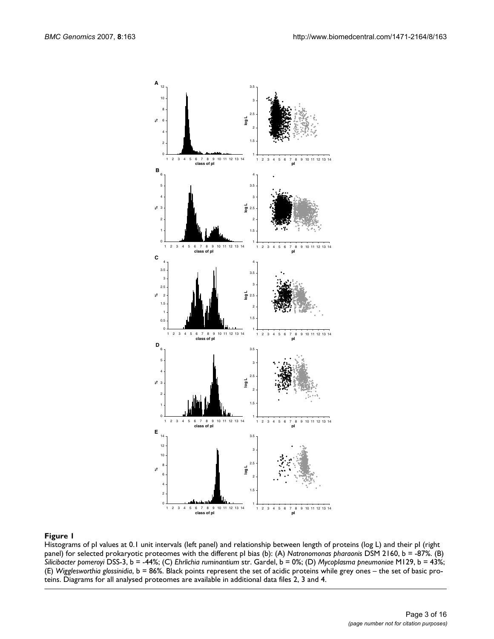

Histograms of pI values at 0.1 unit intervals (left panel) and relationship between length of proteins (log L) and their pI (right panel) for selected prokaryotic proteomes with the different pI bias (b): (A) *Natronomonas pharaonis* DSM 2160, b = -87%. (B) *Silicibacter pomeroyi* DSS-3, b = -44%; (C) *Ehrlichia ruminantium* str. Gardel, b = 0%; (D) *Mycoplasma pneumoniae* M129, b = 43%; (E) *Wigglesworthia glossinidia*, b = 86%. Black points represent the set of acidic proteins while grey ones – the set of basic proteins. Diagrams for all analysed proteomes are available in additional data files 2, 3 and 4.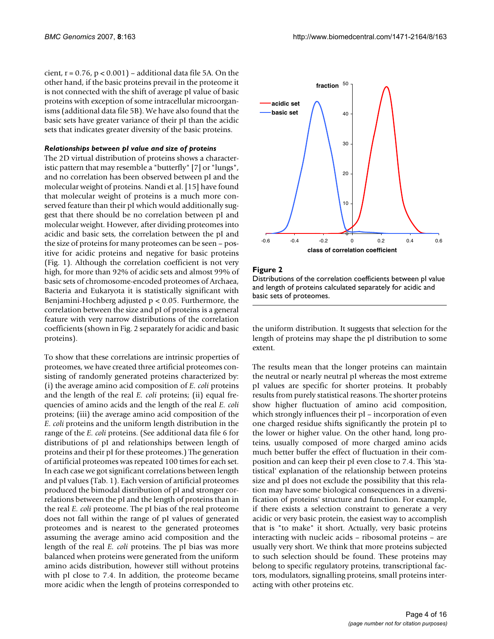cient,  $r = 0.76$ ,  $p < 0.001$ ) – additional data file 5A. On the other hand, if the basic proteins prevail in the proteome it is not connected with the shift of average pI value of basic proteins with exception of some intracellular microorganisms (additional data file 5B). We have also found that the basic sets have greater variance of their pI than the acidic sets that indicates greater diversity of the basic proteins.

#### *Relationships between pI value and size of proteins*

The 2D virtual distribution of proteins shows a characteristic pattern that may resemble a "butterfly" [7] or "lungs", and no correlation has been observed between pI and the molecular weight of proteins. Nandi et al. [15] have found that molecular weight of proteins is a much more conserved feature than their pI which would additionally suggest that there should be no correlation between pI and molecular weight. However, after dividing proteomes into acidic and basic sets, the correlation between the pI and the size of proteins for many proteomes can be seen – positive for acidic proteins and negative for basic proteins (Fig. 1). Although the correlation coefficient is not very high, for more than 92% of acidic sets and almost 99% of basic sets of chromosome-encoded proteomes of Archaea, Bacteria and Eukaryota it is statistically significant with Benjamini-Hochberg adjusted p < 0.05. Furthermore, the correlation between the size and pI of proteins is a general feature with very narrow distributions of the correlation coefficients (shown in Fig. 2 separately for acidic and basic proteins).

To show that these correlations are intrinsic properties of proteomes, we have created three artificial proteomes consisting of randomly generated proteins characterized by: (i) the average amino acid composition of *E. coli* proteins and the length of the real *E. coli* proteins; (ii) equal frequencies of amino acids and the length of the real *E. coli* proteins; (iii) the average amino acid composition of the *E. coli* proteins and the uniform length distribution in the range of the *E. coli* proteins. (See additional data file 6 for distributions of pI and relationships between length of proteins and their pI for these proteomes.) The generation of artificial proteomes was repeated 100 times for each set. In each case we got significant correlations between length and pI values (Tab. 1). Each version of artificial proteomes produced the bimodal distribution of pI and stronger correlations between the pI and the length of proteins than in the real *E. coli* proteome. The pI bias of the real proteome does not fall within the range of pI values of generated proteomes and is nearest to the generated proteomes assuming the average amino acid composition and the length of the real *E. coli* proteins. The pI bias was more balanced when proteins were generated from the uniform amino acids distribution, however still without proteins with pI close to 7.4. In addition, the proteome became more acidic when the length of proteins corresponded to



#### Figure 2

Distributions of the correlation coefficients between pI value and length of proteins calculated separately for acidic and basic sets of proteomes.

the uniform distribution. It suggests that selection for the length of proteins may shape the pI distribution to some extent.

The results mean that the longer proteins can maintain the neutral or nearly neutral pI whereas the most extreme pI values are specific for shorter proteins. It probably results from purely statistical reasons. The shorter proteins show higher fluctuation of amino acid composition, which strongly influences their pI – incorporation of even one charged residue shifts significantly the protein pI to the lower or higher value. On the other hand, long proteins, usually composed of more charged amino acids much better buffer the effect of fluctuation in their composition and can keep their pI even close to 7.4. This 'statistical' explanation of the relationship between proteins size and pI does not exclude the possibility that this relation may have some biological consequences in a diversification of proteins' structure and function. For example, if there exists a selection constraint to generate a very acidic or very basic protein, the easiest way to accomplish that is "to make" it short. Actually, very basic proteins interacting with nucleic acids – ribosomal proteins – are usually very short. We think that more proteins subjected to such selection should be found. These proteins may belong to specific regulatory proteins, transcriptional factors, modulators, signalling proteins, small proteins interacting with other proteins etc.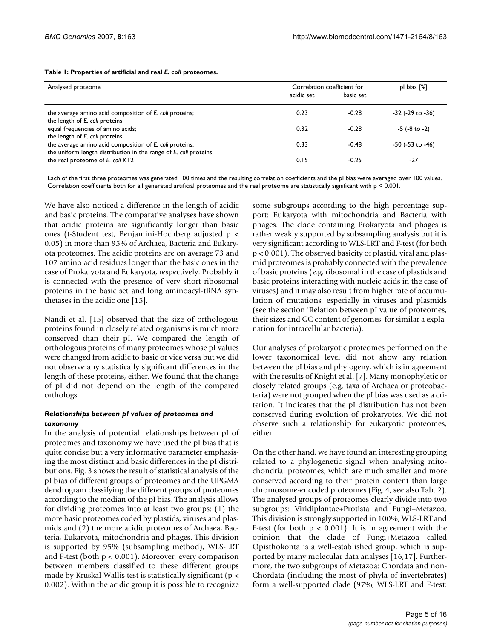#### **Table 1: Properties of artificial and real** *E. coli* **proteomes.**

| Analysed proteome                                                                                                           | Correlation coefficient for |           | pl bias [%]              |  |
|-----------------------------------------------------------------------------------------------------------------------------|-----------------------------|-----------|--------------------------|--|
|                                                                                                                             | acidic set                  | basic set |                          |  |
| the average amino acid composition of E. coli proteins;<br>the length of E. coli proteins                                   | 0.23                        | $-0.28$   | $-32$ ( $-29$ to $-36$ ) |  |
| equal frequencies of amino acids;<br>the length of E. coli proteins                                                         | 0.32                        | $-0.28$   | $-5$ ( $-8$ to $-2$ )    |  |
| the average amino acid composition of E. coli proteins;<br>the uniform length distribution in the range of E. coli proteins | 0.33                        | $-0.48$   | -50 (-53 to -46)         |  |
| the real proteome of E. coli K12                                                                                            | 0.15                        | $-0.25$   | -27                      |  |

Each of the first three proteomes was generated 100 times and the resulting correlation coefficients and the pI bias were averaged over 100 values. Correlation coefficients both for all generated artificial proteomes and the real proteome are statistically significant with p < 0.001.

We have also noticed a difference in the length of acidic and basic proteins. The comparative analyses have shown that acidic proteins are significantly longer than basic ones (t-Student test, Benjamini-Hochberg adjusted p < 0.05) in more than 95% of Archaea, Bacteria and Eukaryota proteomes. The acidic proteins are on average 73 and 107 amino acid residues longer than the basic ones in the case of Prokaryota and Eukaryota, respectively. Probably it is connected with the presence of very short ribosomal proteins in the basic set and long aminoacyl-tRNA synthetases in the acidic one [15].

Nandi et al. [15] observed that the size of orthologous proteins found in closely related organisms is much more conserved than their pI. We compared the length of orthologous proteins of many proteomes whose pI values were changed from acidic to basic or vice versa but we did not observe any statistically significant differences in the length of these proteins, either. We found that the change of pI did not depend on the length of the compared orthologs.

#### *Relationships between pI values of proteomes and taxonomy*

In the analysis of potential relationships between pI of proteomes and taxonomy we have used the pI bias that is quite concise but a very informative parameter emphasising the most distinct and basic differences in the pI distributions. Fig. 3 shows the result of statistical analysis of the pI bias of different groups of proteomes and the UPGMA dendrogram classifying the different groups of proteomes according to the median of the pI bias. The analysis allows for dividing proteomes into at least two groups: (1) the more basic proteomes coded by plastids, viruses and plasmids and (2) the more acidic proteomes of Archaea, Bacteria, Eukaryota, mitochondria and phages. This division is supported by 95% (subsampling method), WLS-LRT and F-test (both p < 0.001). Moreover, every comparison between members classified to these different groups made by Kruskal-Wallis test is statistically significant (p < 0.002). Within the acidic group it is possible to recognize some subgroups according to the high percentage support: Eukaryota with mitochondria and Bacteria with phages. The clade containing Prokaryota and phages is rather weakly supported by subsampling analysis but it is very significant according to WLS-LRT and F-test (for both p < 0.001). The observed basicity of plastid, viral and plasmid proteomes is probably connected with the prevalence of basic proteins (e.g. ribosomal in the case of plastids and basic proteins interacting with nucleic acids in the case of viruses) and it may also result from higher rate of accumulation of mutations, especially in viruses and plasmids (see the section 'Relation between pI value of proteomes, their sizes and GC content of genomes' for similar a explanation for intracellular bacteria).

Our analyses of prokaryotic proteomes performed on the lower taxonomical level did not show any relation between the pI bias and phylogeny, which is in agreement with the results of Knight et al. [7]. Many monophyletic or closely related groups (e.g. taxa of Archaea or proteobacteria) were not grouped when the pI bias was used as a criterion. It indicates that the pI distribution has not been conserved during evolution of prokaryotes. We did not observe such a relationship for eukaryotic proteomes, either.

On the other hand, we have found an interesting grouping related to a phylogenetic signal when analysing mitochondrial proteomes, which are much smaller and more conserved according to their protein content than large chromosome-encoded proteomes (Fig. 4, see also Tab. 2). The analysed groups of proteomes clearly divide into two subgroups: Viridiplantae+Protista and Fungi+Metazoa. This division is strongly supported in 100%, WLS-LRT and F-test (for both  $p < 0.001$ ). It is in agreement with the opinion that the clade of Fungi+Metazoa called Opisthokonta is a well-established group, which is supported by many molecular data analyses [16,17]. Furthermore, the two subgroups of Metazoa: Chordata and non-Chordata (including the most of phyla of invertebrates) form a well-supported clade (97%; WLS-LRT and F-test: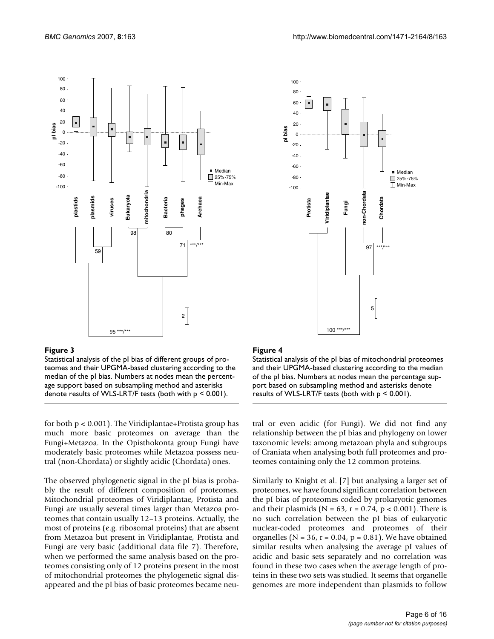

Statistical analysis of the pI bias of different groups of proteomes and their UPGMA-based clustering according to the median of the pI bias. Numbers at nodes mean the percentage support based on subsampling method and asterisks denote results of WLS-LRT/F tests (both with p < 0.001).

for both  $p < 0.001$ ). The Viridiplantae+Protista group has much more basic proteomes on average than the Fungi+Metazoa. In the Opisthokonta group Fungi have moderately basic proteomes while Metazoa possess neutral (non-Chordata) or slightly acidic (Chordata) ones.

The observed phylogenetic signal in the pI bias is probably the result of different composition of proteomes. Mitochondrial proteomes of Viridiplantae, Protista and Fungi are usually several times larger than Metazoa proteomes that contain usually 12–13 proteins. Actually, the most of proteins (e.g. ribosomal proteins) that are absent from Metazoa but present in Viridiplantae, Protista and Fungi are very basic (additional data file 7). Therefore, when we performed the same analysis based on the proteomes consisting only of 12 proteins present in the most of mitochondrial proteomes the phylogenetic signal disappeared and the pI bias of basic proteomes became neu-



### Figure 4

Statistical analysis of the pI bias of mitochondrial proteomes and their UPGMA-based clustering according to the median of the pI bias. Numbers at nodes mean the percentage support based on subsampling method and asterisks denote results of WLS-LRT/F tests (both with p < 0.001).

tral or even acidic (for Fungi). We did not find any relationship between the pI bias and phylogeny on lower taxonomic levels: among metazoan phyla and subgroups of Craniata when analysing both full proteomes and proteomes containing only the 12 common proteins.

Similarly to Knight et al. [7] but analysing a larger set of proteomes, we have found significant correlation between the pI bias of proteomes coded by prokaryotic genomes and their plasmids ( $N = 63$ ,  $r = 0.74$ ,  $p < 0.001$ ). There is no such correlation between the pI bias of eukaryotic nuclear-coded proteomes and proteomes of their organelles ( $N = 36$ ,  $r = 0.04$ ,  $p = 0.81$ ). We have obtained similar results when analysing the average pI values of acidic and basic sets separately and no correlation was found in these two cases when the average length of proteins in these two sets was studied. It seems that organelle genomes are more independent than plasmids to follow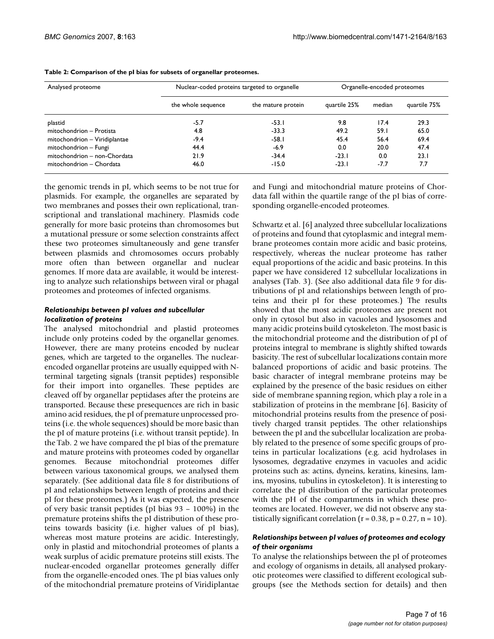| Analysed proteome             | Nuclear-coded proteins targeted to organelle |                    | Organelle-encoded proteomes |        |              |
|-------------------------------|----------------------------------------------|--------------------|-----------------------------|--------|--------------|
|                               | the whole sequence                           | the mature protein | quartile 25%                | median | quartile 75% |
| plastid                       | $-5.7$                                       | $-53.1$            | 9.8                         | 17.4   | 29.3         |
| mitochondrion - Protista      | 4.8                                          | $-33.3$            | 49.2                        | 59.I   | 65.0         |
| mitochondrion - Viridiplantae | $-9.4$                                       | $-58.1$            | 45.4                        | 56.4   | 69.4         |
| mitochondrion - Fungi         | 44.4                                         | $-6.9$             | 0.0                         | 20.0   | 47.4         |
| mitochondrion - non-Chordata  | 21.9                                         | $-34.4$            | $-23.1$                     | 0.0    | 23.1         |
| mitochondrion - Chordata      | 46.0                                         | $-15.0$            | $-23.1$                     | $-7.7$ | 7.7          |

#### **Table 2: Comparison of the pI bias for subsets of organellar proteomes.**

the genomic trends in pI, which seems to be not true for plasmids. For example, the organelles are separated by two membranes and posses their own replicational, transcriptional and translational machinery. Plasmids code generally for more basic proteins than chromosomes but a mutational pressure or some selection constraints affect these two proteomes simultaneously and gene transfer between plasmids and chromosomes occurs probably more often than between organellar and nuclear genomes. If more data are available, it would be interesting to analyze such relationships between viral or phagal proteomes and proteomes of infected organisms.

#### *Relationships between pI values and subcellular localization of proteins*

The analysed mitochondrial and plastid proteomes include only proteins coded by the organellar genomes. However, there are many proteins encoded by nuclear genes, which are targeted to the organelles. The nuclearencoded organellar proteins are usually equipped with Nterminal targeting signals (transit peptides) responsible for their import into organelles. These peptides are cleaved off by organellar peptidases after the proteins are transported. Because these presequences are rich in basic amino acid residues, the pI of premature unprocessed proteins (i.e. the whole sequences) should be more basic than the pI of mature proteins (i.e. without transit peptide). In the Tab. 2 we have compared the pI bias of the premature and mature proteins with proteomes coded by organellar genomes. Because mitochondrial proteomes differ between various taxonomical groups, we analysed them separately. (See additional data file 8 for distributions of pI and relationships between length of proteins and their pI for these proteomes.) As it was expected, the presence of very basic transit peptides (pI bias 93 – 100%) in the premature proteins shifts the pI distribution of these proteins towards basicity (i.e. higher values of pI bias), whereas most mature proteins are acidic. Interestingly, only in plastid and mitochondrial proteomes of plants a weak surplus of acidic premature proteins still exists. The nuclear-encoded organellar proteomes generally differ from the organelle-encoded ones. The pI bias values only of the mitochondrial premature proteins of Viridiplantae

and Fungi and mitochondrial mature proteins of Chordata fall within the quartile range of the pI bias of corresponding organelle-encoded proteomes.

Schwartz et al. [6] analyzed three subcellular localizations of proteins and found that cytoplasmic and integral membrane proteomes contain more acidic and basic proteins, respectively, whereas the nuclear proteome has rather equal proportions of the acidic and basic proteins. In this paper we have considered 12 subcellular localizations in analyses (Tab. 3). (See also additional data file 9 for distributions of pI and relationships between length of proteins and their pI for these proteomes.) The results showed that the most acidic proteomes are present not only in cytosol but also in vacuoles and lysosomes and many acidic proteins build cytoskeleton. The most basic is the mitochondrial proteome and the distribution of pI of proteins integral to membrane is slightly shifted towards basicity. The rest of subcellular localizations contain more balanced proportions of acidic and basic proteins. The basic character of integral membrane proteins may be explained by the presence of the basic residues on either side of membrane spanning region, which play a role in a stabilization of proteins in the membrane [6]. Basicity of mitochondrial proteins results from the presence of positively charged transit peptides. The other relationships between the pI and the subcellular localization are probably related to the presence of some specific groups of proteins in particular localizations (e.g. acid hydrolases in lysosomes, degradative enzymes in vacuoles and acidic proteins such as: actins, dyneins, keratins, kinesins, lamins, myosins, tubulins in cytoskeleton). It is interesting to correlate the pI distribution of the particular proteomes with the pH of the compartments in which these proteomes are located. However, we did not observe any statistically significant correlation ( $r = 0.38$ ,  $p = 0.27$ ,  $n = 10$ ).

### *Relationships between pI values of proteomes and ecology of their organisms*

To analyse the relationships between the pI of proteomes and ecology of organisms in details, all analysed prokaryotic proteomes were classified to different ecological subgroups (see the Methods section for details) and then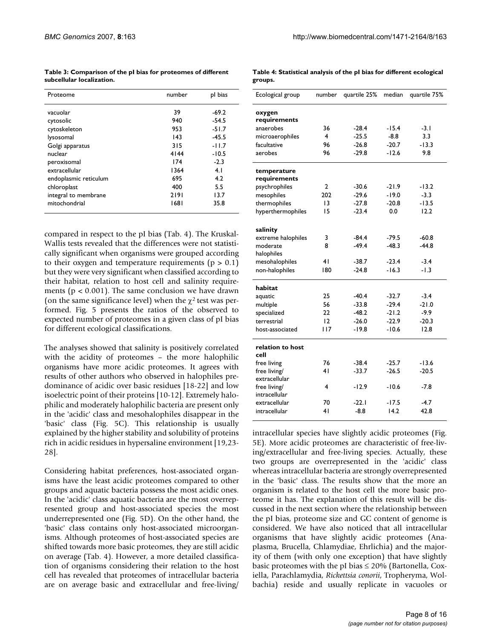**Table 4: Statistical analysis of the pI bias for different ecological** 

**Table 3: Comparison of the pI bias for proteomes of different subcellular localization.**

| Proteome              | number | pl bias |
|-----------------------|--------|---------|
| vacuolar              | 39     | $-69.2$ |
| cytosolic             | 940    | $-54.5$ |
| cytoskeleton          | 953    | $-51.7$ |
| lysosomal             | 43     | $-45.5$ |
| Golgi apparatus       | 315    | $-11.7$ |
| nuclear               | 4144   | $-10.5$ |
| peroxisomal           | 174    | $-2.3$  |
| extracellular         | 1364   | 4.1     |
| endoplasmic reticulum | 695    | 4.2     |
| chloroplast           | 400    | 5.5     |
| integral to membrane  | 2191   | 13.7    |
| mitochondrial         | 1681   | 35.8    |

compared in respect to the pI bias (Tab. 4). The Kruskal-Wallis tests revealed that the differences were not statistically significant when organisms were grouped according to their oxygen and temperature requirements ( $p > 0.1$ ) but they were very significant when classified according to their habitat, relation to host cell and salinity requirements ( $p < 0.001$ ). The same conclusion we have drawn (on the same significance level) when the  $\chi^2$  test was performed. Fig. 5 presents the ratios of the observed to expected number of proteomes in a given class of pI bias for different ecological classifications.

The analyses showed that salinity is positively correlated with the acidity of proteomes – the more halophilic organisms have more acidic proteomes. It agrees with results of other authors who observed in halophiles predominance of acidic over basic residues [18-22] and low isoelectric point of their proteins [10-12]. Extremely halophilic and moderately halophilic bacteria are present only in the 'acidic' class and mesohalophiles disappear in the 'basic' class (Fig. 5C). This relationship is usually explained by the higher stability and solubility of proteins rich in acidic residues in hypersaline environment [19,23- 28].

Considering habitat preferences, host-associated organisms have the least acidic proteomes compared to other groups and aquatic bacteria possess the most acidic ones. In the 'acidic' class aquatic bacteria are the most overrepresented group and host-associated species the most underrepresented one (Fig. 5D). On the other hand, the 'basic' class contains only host-associated microorganisms. Although proteomes of host-associated species are shifted towards more basic proteomes, they are still acidic on average (Tab. 4). However, a more detailed classification of organisms considering their relation to the host cell has revealed that proteomes of intracellular bacteria are on average basic and extracellular and free-living/

| groups.                |        |              |         |              |
|------------------------|--------|--------------|---------|--------------|
| Ecological group       | number | quartile 25% | median  | quartile 75% |
| oxygen                 |        |              |         |              |
| requirements           |        |              |         |              |
| anaerobes              | 36     | -28.4        | $-15.4$ | $-3.1$       |
| microaerophiles        | 4      | $-25.5$      | $-8.8$  | 3.3          |
| facultative            | 96     | $-26.8$      | $-20.7$ | $-13.3$      |
| aerobes                | 96     | $-29.8$      | $-12.6$ | 9.8          |
| temperature            |        |              |         |              |
| requirements           |        |              |         |              |
| psychrophiles          | 2      | $-30.6$      | $-21.9$ | $-13.2$      |
| mesophiles             | 202    | $-29.6$      | $-19.0$ | $-3.3$       |
| thermophiles           | 13     | $-27.8$      | $-20.8$ | $-13.5$      |
| hyperthermophiles      | 15     | $-23.4$      | 0.0     | 12.2         |
| salinity               |        |              |         |              |
| extreme halophiles     | 3      | $-84.4$      | $-79.5$ | $-60.8$      |
| moderate<br>halophiles | 8      | $-49.4$      | $-48.3$ | $-44.8$      |
| mesohalophiles         | 41     | $-38.7$      | $-23.4$ | $-3.4$       |
| non-halophiles         | 180    | $-24.8$      | $-16.3$ | $-1.3$       |
| habitat                |        |              |         |              |
| aquatic                | 25     | $-40.4$      | $-32.7$ | $-3.4$       |
| multiple               | 56     | $-33.8$      | $-29.4$ | $-21.0$      |
| specialized            | 22     | $-48.2$      | $-21.2$ | $-9.9$       |
| terrestrial            | 12     | $-26.0$      | $-22.9$ | $-20.3$      |
| host-associated        | 117    | $-19.8$      | $-10.6$ | 12.8         |
| relation to host       |        |              |         |              |
| cell                   |        |              |         |              |
| free living            | 76     | $-38.4$      | $-25.7$ | $-13.6$      |
| free living/           | 41     | $-33.7$      | $-26.5$ | $-20.5$      |
| extracellular          |        |              |         |              |
| free living/           | 4      | $-12.9$      | $-10.6$ | $-7.8$       |
| intracellular          |        |              |         |              |
| extracellular          | 70     | $-22.1$      | $-17.5$ | -4.7         |
| intracellular          | 41     | $-8.8$       | 14.2    | 42.8         |

intracellular species have slightly acidic proteomes (Fig. 5E). More acidic proteomes are characteristic of free-living/extracellular and free-living species. Actually, these two groups are overrepresented in the 'acidic' class whereas intracellular bacteria are strongly overrepresented in the 'basic' class. The results show that the more an organism is related to the host cell the more basic proteome it has. The explanation of this result will be discussed in the next section where the relationship between the pI bias, proteome size and GC content of genome is considered. We have also noticed that all intracellular organisms that have slightly acidic proteomes (Anaplasma, Brucella, Chlamydiae, Ehrlichia) and the majority of them (with only one exception) that have slightly basic proteomes with the pI bias  $\leq$  20% (Bartonella, Coxiella, Parachlamydia, *Rickettsia conorii*, Tropheryma, Wolbachia) reside and usually replicate in vacuoles or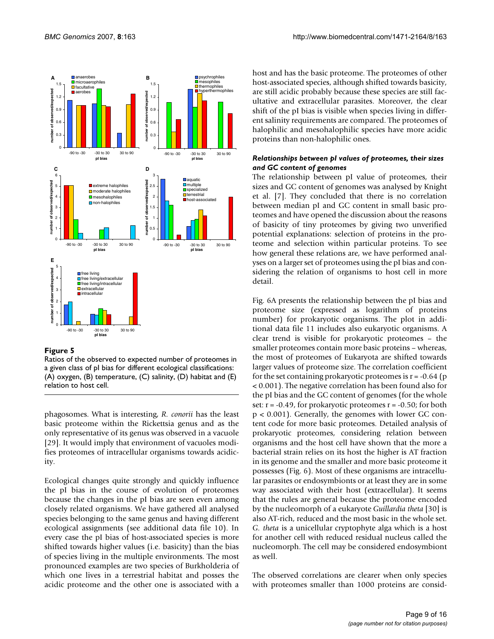

Ratios of the observed to expected number of proteomes in a given class of pI bias for different ecological classifications: (A) oxygen, (B) temperature, (C) salinity, (D) habitat and (E) relation to host cell.

phagosomes. What is interesting, *R. conorii* has the least basic proteome within the Rickettsia genus and as the only representative of its genus was observed in a vacuole [29]. It would imply that environment of vacuoles modifies proteomes of intracellular organisms towards acidicity.

Ecological changes quite strongly and quickly influence the pI bias in the course of evolution of proteomes because the changes in the pI bias are seen even among closely related organisms. We have gathered all analysed species belonging to the same genus and having different ecological assignments (see additional data file 10). In every case the pI bias of host-associated species is more shifted towards higher values (i.e. basicity) than the bias of species living in the multiple environments. The most pronounced examples are two species of Burkholderia of which one lives in a terrestrial habitat and posses the acidic proteome and the other one is associated with a

host and has the basic proteome. The proteomes of other host-associated species, although shifted towards basicity, are still acidic probably because these species are still facultative and extracellular parasites. Moreover, the clear shift of the pI bias is visible when species living in different salinity requirements are compared. The proteomes of halophilic and mesohalophilic species have more acidic proteins than non-halophilic ones.

#### *Relationships between pI values of proteomes, their sizes and GC content of genomes*

The relationship between pI value of proteomes, their sizes and GC content of genomes was analysed by Knight et al. [7]. They concluded that there is no correlation between median pI and GC content in small basic proteomes and have opened the discussion about the reasons of basicity of tiny proteomes by giving two unverified potential explanations: selection of proteins in the proteome and selection within particular proteins. To see how general these relations are, we have performed analyses on a larger set of proteomes using the pI bias and considering the relation of organisms to host cell in more detail.

Fig. 6A presents the relationship between the pI bias and proteome size (expressed as logarithm of proteins number) for prokaryotic organisms. The plot in additional data file 11 includes also eukaryotic organisms. A clear trend is visible for prokaryotic proteomes – the smaller proteomes contain more basic proteins – whereas, the most of proteomes of Eukaryota are shifted towards larger values of proteome size. The correlation coefficient for the set containing prokaryotic proteomes is  $r = -0.64$  (p < 0.001). The negative correlation has been found also for the pI bias and the GC content of genomes (for the whole set:  $r = -0.49$ , for prokaryotic proteomes  $r = -0.50$ ; for both p < 0.001). Generally, the genomes with lower GC content code for more basic proteomes. Detailed analysis of prokaryotic proteomes, considering relation between organisms and the host cell have shown that the more a bacterial strain relies on its host the higher is AT fraction in its genome and the smaller and more basic proteome it possesses (Fig. 6). Most of these organisms are intracellular parasites or endosymbionts or at least they are in some way associated with their host (extracellular). It seems that the rules are general because the proteome encoded by the nucleomorph of a eukaryote *Guillardia theta* [30] is also AT-rich, reduced and the most basic in the whole set. *G. theta* is a unicellular cryptophyte alga which is a host for another cell with reduced residual nucleus called the nucleomorph. The cell may be considered endosymbiont as well.

The observed correlations are clearer when only species with proteomes smaller than 1000 proteins are consid-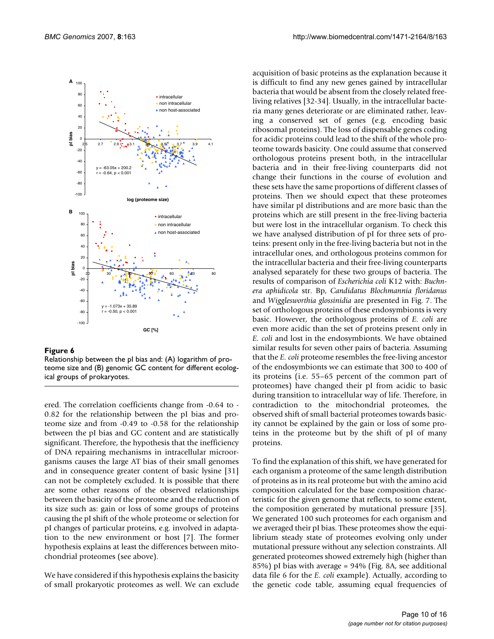

Relationship between the pI bias and: (A) logarithm of proteome size and (B) genomic GC content for different ecological groups of prokaryotes.

ered. The correlation coefficients change from -0.64 to - 0.82 for the relationship between the pI bias and proteome size and from -0.49 to -0.58 for the relationship between the pI bias and GC content and are statistically significant. Therefore, the hypothesis that the inefficiency of DNA repairing mechanisms in intracellular microorganisms causes the large AT bias of their small genomes and in consequence greater content of basic lysine [31] can not be completely excluded. It is possible that there are some other reasons of the observed relationships between the basicity of the proteome and the reduction of its size such as: gain or loss of some groups of proteins causing the pI shift of the whole proteome or selection for pI changes of particular proteins, e.g. involved in adaptation to the new environment or host [7]. The former hypothesis explains at least the differences between mitochondrial proteomes (see above).

We have considered if this hypothesis explains the basicity of small prokaryotic proteomes as well. We can exclude acquisition of basic proteins as the explanation because it is difficult to find any new genes gained by intracellular bacteria that would be absent from the closely related freeliving relatives [32-34]. Usually, in the intracellular bacteria many genes deteriorate or are eliminated rather, leaving a conserved set of genes (e.g. encoding basic ribosomal proteins). The loss of dispensable genes coding for acidic proteins could lead to the shift of the whole proteome towards basicity. One could assume that conserved orthologous proteins present both, in the intracellular bacteria and in their free-living counterparts did not change their functions in the course of evolution and these sets have the same proportions of different classes of proteins. Then we should expect that these proteomes have similar pI distributions and are more basic than the proteins which are still present in the free-living bacteria but were lost in the intracellular organism. To check this we have analysed distribution of pI for three sets of proteins: present only in the free-living bacteria but not in the intracellular ones, and orthologous proteins common for the intracellular bacteria and their free-living counterparts analysed separately for these two groups of bacteria. The results of comparison of *Escherichia coli* K12 with: *Buchnera aphidicola* str. Bp, *Candidatus Blochmannia floridanus* and *Wigglesworthia glossinidia* are presented in Fig. 7. The set of orthologous proteins of these endosymbionts is very basic. However, the orthologous proteins of *E. coli* are even more acidic than the set of proteins present only in *E. coli* and lost in the endosymbionts. We have obtained similar results for seven other pairs of bacteria. Assuming that the *E. coli* proteome resembles the free-living ancestor of the endosymbionts we can estimate that 300 to 400 of its proteins (i.e. 55–65 percent of the common part of proteomes) have changed their pI from acidic to basic during transition to intracellular way of life. Therefore, in contradiction to the mitochondrial proteomes, the observed shift of small bacterial proteomes towards basicity cannot be explained by the gain or loss of some proteins in the proteome but by the shift of pI of many proteins.

To find the explanation of this shift, we have generated for each organism a proteome of the same length distribution of proteins as in its real proteome but with the amino acid composition calculated for the base composition characteristic for the given genome that reflects, to some extent, the composition generated by mutational pressure [35]. We generated 100 such proteomes for each organism and we averaged their pI bias. These proteomes show the equilibrium steady state of proteomes evolving only under mutational pressure without any selection constraints. All generated proteomes showed extremely high (higher than 85%) pI bias with average = 94% (Fig. 8A, see additional data file 6 for the *E. coli* example). Actually, according to the genetic code table, assuming equal frequencies of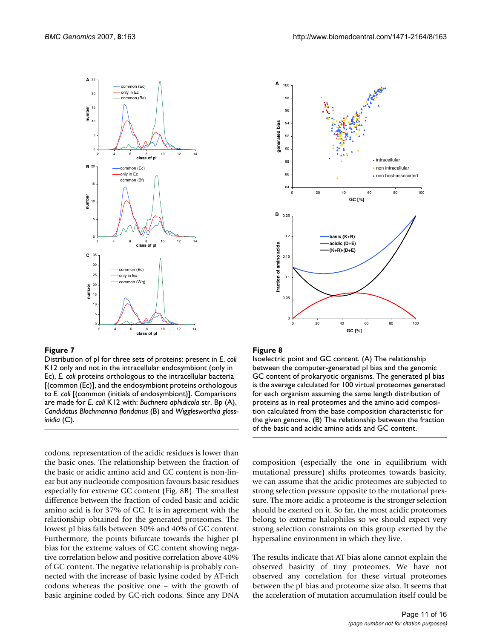

Distribution of pI for three sets of proteins: present in *E*. *coli*  K12 only and not in the intracellular endosymbiont (only in Ec), *E. coli* proteins orthologous to the intracellular bacteria [(common (Ec)], and the endosymbiont proteins orthologous to *E. coli* [(common (initials of endosymbiont)]. Comparisons are made for *E*. *coli* K12 with: *Buchnera aphidicola* str. Bp (A), *Candidatus Blochmannia floridanus* (B) and *Wigglesworthia glossinidia* (C).

codons, representation of the acidic residues is lower than the basic ones. The relationship between the fraction of the basic or acidic amino acid and GC content is non-linear but any nucleotide composition favours basic residues especially for extreme GC content (Fig. 8B). The smallest difference between the fraction of coded basic and acidic amino acid is for 37% of GC. It is in agreement with the relationship obtained for the generated proteomes. The lowest pI bias falls between 30% and 40% of GC content. Furthermore, the points bifurcate towards the higher pI bias for the extreme values of GC content showing negative correlation below and positive correlation above 40% of GC content. The negative relationship is probably connected with the increase of basic lysine coded by AT-rich codons whereas the positive one – with the growth of basic arginine coded by GC-rich codons. Since any DNA



#### **Figure 8**

Isoelectric point and GC content. (A) The relationship between the computer-generated pI bias and the genomic GC content of prokaryotic organisms. The generated pI bias is the average calculated for 100 virtual proteomes generated for each organism assuming the same length distribution of proteins as in real proteomes and the amino acid composition calculated from the base composition characteristic for the given genome. (B) The relationship between the fraction of the basic and acidic amino acids and GC content.

composition (especially the one in equilibrium with mutational pressure) shifts proteomes towards basicity, we can assume that the acidic proteomes are subjected to strong selection pressure opposite to the mutational pressure. The more acidic a proteome is the stronger selection should be exerted on it. So far, the most acidic proteomes belong to extreme halophiles so we should expect very strong selection constraints on this group exerted by the hypersaline environment in which they live.

The results indicate that AT bias alone cannot explain the observed basicity of tiny proteomes. We have not observed any correlation for these virtual proteomes between the pI bias and proteome size also. It seems that the acceleration of mutation accumulation itself could be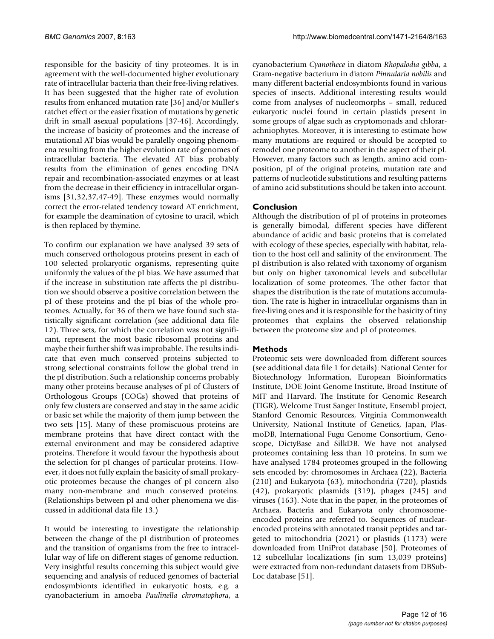responsible for the basicity of tiny proteomes. It is in agreement with the well-documented higher evolutionary rate of intracellular bacteria than their free-living relatives. It has been suggested that the higher rate of evolution results from enhanced mutation rate [36] and/or Muller's ratchet effect or the easier fixation of mutations by genetic drift in small asexual populations [37-46]. Accordingly, the increase of basicity of proteomes and the increase of mutational AT bias would be paralelly ongoing phenomena resulting from the higher evolution rate of genomes of intracellular bacteria. The elevated AT bias probably results from the elimination of genes encoding DNA repair and recombination-associated enzymes or at least from the decrease in their efficiency in intracellular organisms [31,32,37,47-49]. These enzymes would normally correct the error-related tendency toward AT enrichment, for example the deamination of cytosine to uracil, which is then replaced by thymine.

To confirm our explanation we have analysed 39 sets of much conserved orthologous proteins present in each of 100 selected prokaryotic organisms, representing quite uniformly the values of the pI bias. We have assumed that if the increase in substitution rate affects the pI distribution we should observe a positive correlation between the pI of these proteins and the pI bias of the whole proteomes. Actually, for 36 of them we have found such statistically significant correlation (see additional data file 12). Three sets, for which the correlation was not significant, represent the most basic ribosomal proteins and maybe their further shift was improbable. The results indicate that even much conserved proteins subjected to strong selectional constraints follow the global trend in the pI distribution. Such a relationship concerns probably many other proteins because analyses of pI of Clusters of Orthologous Groups (COGs) showed that proteins of only few clusters are conserved and stay in the same acidic or basic set while the majority of them jump between the two sets [15]. Many of these promiscuous proteins are membrane proteins that have direct contact with the external environment and may be considered adaptive proteins. Therefore it would favour the hypothesis about the selection for pI changes of particular proteins. However, it does not fully explain the basicity of small prokaryotic proteomes because the changes of pI concern also many non-membrane and much conserved proteins. (Relationships between pI and other phenomena we discussed in additional data file 13.)

It would be interesting to investigate the relationship between the change of the pI distribution of proteomes and the transition of organisms from the free to intracellular way of life on different stages of genome reduction. Very insightful results concerning this subject would give sequencing and analysis of reduced genomes of bacterial endosymbionts identified in eukaryotic hosts, e.g. a cyanobacterium in amoeba *Paulinella chromatophora*, a cyanobacterium *Cyanothece* in diatom *Rhopalodia gibba*, a Gram-negative bacterium in diatom *Pinnularia nobilis* and many different bacterial endosymbionts found in various species of insects. Additional interesting results would come from analyses of nucleomorphs – small, reduced eukaryotic nuclei found in certain plastids present in some groups of algae such as cryptomonads and chlorarachniophytes. Moreover, it is interesting to estimate how many mutations are required or should be accepted to remodel one proteome to another in the aspect of their pI. However, many factors such as length, amino acid composition, pI of the original proteins, mutation rate and patterns of nucleotide substitutions and resulting patterns of amino acid substitutions should be taken into account.

## **Conclusion**

Although the distribution of pI of proteins in proteomes is generally bimodal, different species have different abundance of acidic and basic proteins that is correlated with ecology of these species, especially with habitat, relation to the host cell and salinity of the environment. The pI distribution is also related with taxonomy of organism but only on higher taxonomical levels and subcellular localization of some proteomes. The other factor that shapes the distribution is the rate of mutations accumulation. The rate is higher in intracellular organisms than in free-living ones and it is responsible for the basicity of tiny proteomes that explains the observed relationship between the proteome size and pI of proteomes.

### **Methods**

Proteomic sets were downloaded from different sources (see additional data file 1 for details): National Center for Biotechnology Information, European Bioinformatics Institute, DOE Joint Genome Institute, Broad Institute of MIT and Harvard, The Institute for Genomic Research (TIGR), Welcome Trust Sanger Institute, Ensembl project, Stanford Genomic Resources, Virginia Commonwealth University, National Institute of Genetics, Japan, PlasmoDB, International Fugu Genome Consortium, Genoscope, DictyBase and SilkDB. We have not analysed proteomes containing less than 10 proteins. In sum we have analysed 1784 proteomes grouped in the following sets encoded by: chromosomes in Archaea (22), Bacteria (210) and Eukaryota (63), mitochondria (720), plastids (42), prokaryotic plasmids (319), phages (245) and viruses (163). Note that in the paper, in the proteomes of Archaea, Bacteria and Eukaryota only chromosomeencoded proteins are referred to. Sequences of nuclearencoded proteins with annotated transit peptides and targeted to mitochondria (2021) or plastids (1173) were downloaded from UniProt database [50]. Proteomes of 12 subcellular localizations (in sum 13,039 proteins) were extracted from non-redundant datasets from DBSub-Loc database [51].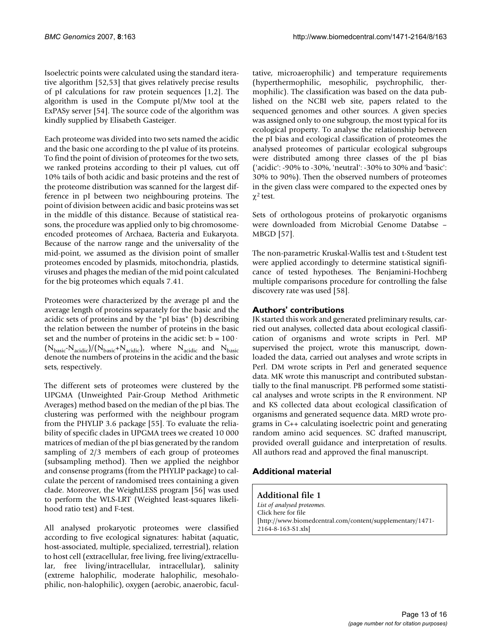Isoelectric points were calculated using the standard iterative algorithm [52,53] that gives relatively precise results of pI calculations for raw protein sequences [1,2]. The algorithm is used in the Compute pI/Mw tool at the ExPASy server [54]. The source code of the algorithm was kindly supplied by Elisabeth Gasteiger.

Each proteome was divided into two sets named the acidic and the basic one according to the pI value of its proteins. To find the point of division of proteomes for the two sets, we ranked proteins according to their pI values, cut off 10% tails of both acidic and basic proteins and the rest of the proteome distribution was scanned for the largest difference in pI between two neighbouring proteins. The point of division between acidic and basic proteins was set in the middle of this distance. Because of statistical reasons, the procedure was applied only to big chromosomeencoded proteomes of Archaea, Bacteria and Eukaryota. Because of the narrow range and the universality of the mid-point, we assumed as the division point of smaller proteomes encoded by plasmids, mitochondria, plastids, viruses and phages the median of the mid point calculated for the big proteomes which equals 7.41.

Proteomes were characterized by the average pI and the average length of proteins separately for the basic and the acidic sets of proteins and by the "pI bias" (b) describing the relation between the number of proteins in the basic set and the number of proteins in the acidic set:  $b = 100 \cdot$  $(N_{\text{basic}}N_{\text{adiic}})/(N_{\text{basic}}+N_{\text{acidic}})$ , where  $N_{\text{adiic}}$  and  $N_{\text{basic}}$ denote the numbers of proteins in the acidic and the basic sets, respectively.

The different sets of proteomes were clustered by the UPGMA (Unweighted Pair-Group Method Arithmetic Averages) method based on the median of the pI bias. The clustering was performed with the neighbour program from the PHYLIP 3.6 package [55]. To evaluate the reliability of specific clades in UPGMA trees we created 10 000 matrices of median of the pI bias generated by the random sampling of 2/3 members of each group of proteomes (subsampling method). Then we applied the neighbor and consense programs (from the PHYLIP package) to calculate the percent of randomised trees containing a given clade. Moreover, the WeightLESS program [56] was used to perform the WLS-LRT (Weighted least-squares likelihood ratio test) and F-test.

All analysed prokaryotic proteomes were classified according to five ecological signatures: habitat (aquatic, host-associated, multiple, specialized, terrestrial), relation to host cell (extracellular, free living, free living/extracellular, free living/intracellular, intracellular), salinity (extreme halophilic, moderate halophilic, mesohalophilic, non-halophilic), oxygen (aerobic, anaerobic, facultative, microaerophilic) and temperature requirements (hyperthermophilic, mesophilic, psychrophilic, thermophilic). The classification was based on the data published on the NCBI web site, papers related to the sequenced genomes and other sources. A given species was assigned only to one subgroup, the most typical for its ecological property. To analyse the relationship between the pI bias and ecological classification of proteomes the analysed proteomes of particular ecological subgroups were distributed among three classes of the pI bias ('acidic': -90% to -30%, 'neutral': -30% to 30% and 'basic': 30% to 90%). Then the observed numbers of proteomes in the given class were compared to the expected ones by χ2 test.

Sets of orthologous proteins of prokaryotic organisms were downloaded from Microbial Genome Databse – MBGD [57].

The non-parametric Kruskal-Wallis test and t-Student test were applied accordingly to determine statistical significance of tested hypotheses. The Benjamini-Hochberg multiple comparisons procedure for controlling the false discovery rate was used [58].

## **Authors' contributions**

JK started this work and generated preliminary results, carried out analyses, collected data about ecological classification of organisms and wrote scripts in Perl. MP supervised the project, wrote this manuscript, downloaded the data, carried out analyses and wrote scripts in Perl. DM wrote scripts in Perl and generated sequence data. MK wrote this manuscript and contributed substantially to the final manuscript. PB performed some statistical analyses and wrote scripts in the R environment. NP and KS collected data about ecological classification of organisms and generated sequence data. MRD wrote programs in C++ calculating isoelectric point and generating random amino acid sequences. SC drafted manuscript, provided overall guidance and interpretation of results. All authors read and approved the final manuscript.

### **Additional material**

**Additional file 1** *List of analysed proteomes.* Click here for file [\[http://www.biomedcentral.com/content/supplementary/1471-](http://www.biomedcentral.com/content/supplementary/1471-2164-8-163-S1.xls) 2164-8-163-S1.xls]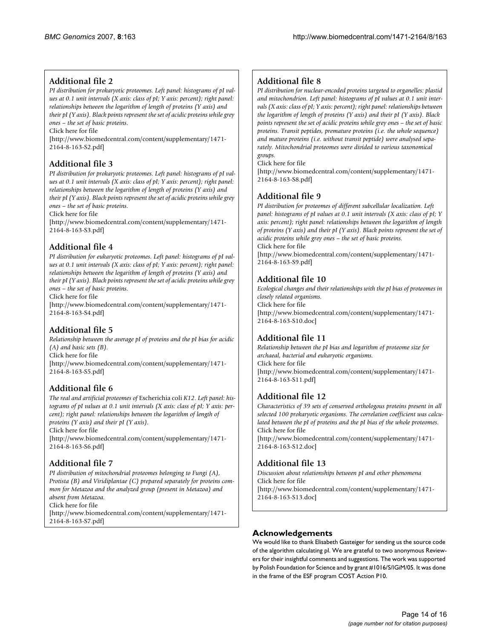## **Additional file 2**

*PI distribution for prokaryotic proteomes. Left panel: histograms of pI values at 0.1 unit intervals (X axis: class of pI; Y axis: percent); right panel: relationships between the logarithm of length of proteins (Y axis) and their pI (Y axis). Black points represent the set of acidic proteins while grey ones – the set of basic proteins.*

Click here for file

[\[http://www.biomedcentral.com/content/supplementary/1471-](http://www.biomedcentral.com/content/supplementary/1471-2164-8-163-S2.pdf) 2164-8-163-S2.pdf]

## **Additional file 3**

*PI distribution for prokaryotic proteomes. Left panel: histograms of pI values at 0.1 unit intervals (X axis: class of pI; Y axis: percent); right panel: relationships between the logarithm of length of proteins (Y axis) and their pI (Y axis). Black points represent the set of acidic proteins while grey ones – the set of basic proteins.*

Click here for file

[\[http://www.biomedcentral.com/content/supplementary/1471-](http://www.biomedcentral.com/content/supplementary/1471-2164-8-163-S3.pdf) 2164-8-163-S3.pdf]

## **Additional file 4**

*PI distribution for eukaryotic proteomes. Left panel: histograms of pI values at 0.1 unit intervals (X axis: class of pI; Y axis: percent); right panel: relationships between the logarithm of length of proteins (Y axis) and their pI (Y axis). Black points represent the set of acidic proteins while grey ones – the set of basic proteins.*

Click here for file

[\[http://www.biomedcentral.com/content/supplementary/1471-](http://www.biomedcentral.com/content/supplementary/1471-2164-8-163-S4.pdf) 2164-8-163-S4.pdf]

## **Additional file 5**

*Relationship between the average pI of proteins and the pI bias for acidic (A) and basic sets (B).* Click here for file [\[http://www.biomedcentral.com/content/supplementary/1471-](http://www.biomedcentral.com/content/supplementary/1471-2164-8-163-S5.pdf) 2164-8-163-S5.pdf]

## **Additional file 6**

*The real and artificial proteomes of* Escherichia coli *K12. Left panel: histograms of pI values at 0.1 unit intervals (X axis: class of pI; Y axis: percent); right panel: relationships between the logarithm of length of proteins (Y axis) and their pI (Y axis).*

Click here for file

[\[http://www.biomedcentral.com/content/supplementary/1471-](http://www.biomedcentral.com/content/supplementary/1471-2164-8-163-S6.pdf) 2164-8-163-S6.pdf]

## **Additional file 7**

*PI distribution of mitochondrial proteomes belonging to Fungi (A), Protista (B) and Viridiplantae (C) prepared separately for proteins common for Metazoa and the analyzed group (present in Metazoa) and absent from Metazoa.* Click here for file [\[http://www.biomedcentral.com/content/supplementary/1471-](http://www.biomedcentral.com/content/supplementary/1471-2164-8-163-S7.pdf)

2164-8-163-S7.pdf]

## **Additional file 8**

*PI distribution for nuclear-encoded proteins targeted to organelles: plastid and mitochondrion. Left panel: histograms of pI values at 0.1 unit intervals (X axis: class of pI; Y axis: percent); right panel: relationships between the logarithm of length of proteins (Y axis) and their pI (Y axis). Black points represent the set of acidic proteins while grey ones – the set of basic proteins. Transit peptides, premature proteins (i.e. the whole sequence) and mature proteins (i.e. without transit peptide) were analysed separately. Mitochondrial proteomes were divided to various taxonomical groups.*

Click here for file

[\[http://www.biomedcentral.com/content/supplementary/1471-](http://www.biomedcentral.com/content/supplementary/1471-2164-8-163-S8.pdf) 2164-8-163-S8.pdf]

## **Additional file 9**

*PI distribution for proteomes of different subcellular localization. Left panel: histograms of pI values at 0.1 unit intervals (X axis: class of pI; Y axis: percent); right panel: relationships between the logarithm of length of proteins (Y axis) and their pI (Y axis). Black points represent the set of acidic proteins while grey ones – the set of basic proteins.* Click here for file [\[http://www.biomedcentral.com/content/supplementary/1471-](http://www.biomedcentral.com/content/supplementary/1471-2164-8-163-S9.pdf) 2164-8-163-S9.pdf]

## **Additional file 10**

*Ecological changes and their relationships with the pI bias of proteomes in closely related organisms.* Click here for file [\[http://www.biomedcentral.com/content/supplementary/1471-](http://www.biomedcentral.com/content/supplementary/1471-2164-8-163-S10.doc) 2164-8-163-S10.doc]

## **Additional file 11**

*Relationship between the pI bias and logarithm of proteome size for archaeal, bacterial and eukaryotic organisms.* Click here for file [\[http://www.biomedcentral.com/content/supplementary/1471-](http://www.biomedcentral.com/content/supplementary/1471-2164-8-163-S11.pdf) 2164-8-163-S11.pdf]

## **Additional file 12**

*Characteristics of 39 sets of conserved orthologous proteins present in all selected 100 prokaryotic organisms. The correlation coefficient was calculated between the pI of proteins and the pI bias of the whole proteomes.* Click here for file

[\[http://www.biomedcentral.com/content/supplementary/1471-](http://www.biomedcentral.com/content/supplementary/1471-2164-8-163-S12.doc) 2164-8-163-S12.doc]

## **Additional file 13**

*Discussion about relationships between pI and other phenomena* Click here for file [\[http://www.biomedcentral.com/content/supplementary/1471-](http://www.biomedcentral.com/content/supplementary/1471-2164-8-163-S13.doc) 2164-8-163-S13.doc]

### **Acknowledgements**

We would like to thank Elisabeth Gasteiger for sending us the source code of the algorithm calculating pI. We are grateful to two anonymous Reviewers for their insightful comments and suggestions. The work was supported by Polish Foundation for Science and by grant #1016/S/IGiM/05. It was done in the frame of the ESF program COST Action P10.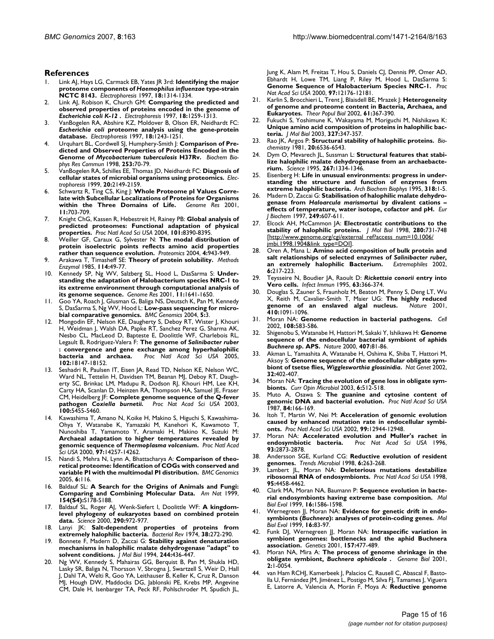#### **References**

- 1. Link AJ, Hays LG, Carmack EB, Yates JR 3rd: **Identifying the major proteome components of** *Haemophilus influenzae* **[type-strain](http://www.ncbi.nlm.nih.gov/entrez/query.fcgi?cmd=Retrieve&db=PubMed&dopt=Abstract&list_uids=9298647) [NCTC 8143.](http://www.ncbi.nlm.nih.gov/entrez/query.fcgi?cmd=Retrieve&db=PubMed&dopt=Abstract&list_uids=9298647)** *Electrophoresis* 1997, **18:**1314-1334.
- 2. Link AJ, Robison K, Church GM: **Comparing the predicted and observed properties of proteins encoded in the genome of** *Escherichia coli K-12* **[.](http://www.ncbi.nlm.nih.gov/entrez/query.fcgi?cmd=Retrieve&db=PubMed&dopt=Abstract&list_uids=9298646)** *Electrophoresis* 1997, **18:**1259-1313.
- 3. VanBogelen RA, Abshire KZ, Moldover B, Olson ER, Neidhardt FC: *Escherichia coli* **[proteome analysis using the gene-protein](http://www.ncbi.nlm.nih.gov/entrez/query.fcgi?cmd=Retrieve&db=PubMed&dopt=Abstract&list_uids=9298644) [database.](http://www.ncbi.nlm.nih.gov/entrez/query.fcgi?cmd=Retrieve&db=PubMed&dopt=Abstract&list_uids=9298644)** *Electrophoresis* 1997, **18:**1243-1251.
- 4. Urquhart BL, Cordwell SJ, Humphery-Smith J: **Comparison of Predicted and Observed Properties of Proteins Encoded in the Genome of** *Mycobacterium tuberculosis* **[H37Rv.](http://www.ncbi.nlm.nih.gov/entrez/query.fcgi?cmd=Retrieve&db=PubMed&dopt=Abstract&list_uids=9875222)** *Biochem Biophys Res Commun* 1998, **253:**70-79.
- 5. VanBogelen RA, Schilles EE, Thomas JD, Neidhardt FC: **[Diagnosis of](http://www.ncbi.nlm.nih.gov/entrez/query.fcgi?cmd=Retrieve&db=PubMed&dopt=Abstract&list_uids=10493120) [cellular states of microbial organisms using proteomics.](http://www.ncbi.nlm.nih.gov/entrez/query.fcgi?cmd=Retrieve&db=PubMed&dopt=Abstract&list_uids=10493120)** *Electrophoresis* 1999, **20:**2149-2159.
- 6. Schwartz R, Ting CS, King J: **[Whole Proteome pI Values Corre](http://www.ncbi.nlm.nih.gov/entrez/query.fcgi?cmd=Retrieve&db=PubMed&dopt=Abstract&list_uids=11337469)[late with Subcellular Localizations of Proteins for Organisms](http://www.ncbi.nlm.nih.gov/entrez/query.fcgi?cmd=Retrieve&db=PubMed&dopt=Abstract&list_uids=11337469)** [within the Three Domains of Life.](http://www.ncbi.nlm.nih.gov/entrez/query.fcgi?cmd=Retrieve&db=PubMed&dopt=Abstract&list_uids=11337469) **11:**703-709.
- 7. Knight ChG, Kassen R, Hebestreit H, Rainey PB: **[Global analysis of](http://www.ncbi.nlm.nih.gov/entrez/query.fcgi?cmd=Retrieve&db=PubMed&dopt=Abstract&list_uids=15150418) [predicted proteomes: Functional adaptation of physical](http://www.ncbi.nlm.nih.gov/entrez/query.fcgi?cmd=Retrieve&db=PubMed&dopt=Abstract&list_uids=15150418) [properties.](http://www.ncbi.nlm.nih.gov/entrez/query.fcgi?cmd=Retrieve&db=PubMed&dopt=Abstract&list_uids=15150418)** *Proc Natl Acad Sci USA* 2004, **101:**8390-8395.
- 8. Weiller GF, Caraux G, Sylvester N: **[The modal distribution of](http://www.ncbi.nlm.nih.gov/entrez/query.fcgi?cmd=Retrieve&db=PubMed&dopt=Abstract&list_uids=15048976) [protein isoelectric points reflects amino acid properties](http://www.ncbi.nlm.nih.gov/entrez/query.fcgi?cmd=Retrieve&db=PubMed&dopt=Abstract&list_uids=15048976) [rather than sequence evolution.](http://www.ncbi.nlm.nih.gov/entrez/query.fcgi?cmd=Retrieve&db=PubMed&dopt=Abstract&list_uids=15048976)** *Proteomics* 2004, **4:**943-949.
- 9. Arakawa T, Timasheff SE: **[Theory of protein solubility.](http://www.ncbi.nlm.nih.gov/entrez/query.fcgi?cmd=Retrieve&db=PubMed&dopt=Abstract&list_uids=4079776)** *Methods Enzymol* 1985, **114:**49-77.
- 10. Kennedy SP, Ng WV, Salzberg SL, Hood L, DasSarma S: **[Under](http://www.ncbi.nlm.nih.gov/entrez/query.fcgi?cmd=Retrieve&db=PubMed&dopt=Abstract&list_uids=11591641)[standing the adaptation of Halobacterium species NRC-1 to](http://www.ncbi.nlm.nih.gov/entrez/query.fcgi?cmd=Retrieve&db=PubMed&dopt=Abstract&list_uids=11591641) its extreme environment through computational analysis of [its genome sequence.](http://www.ncbi.nlm.nih.gov/entrez/query.fcgi?cmd=Retrieve&db=PubMed&dopt=Abstract&list_uids=11591641)** *Genome Res* 2001, **11:**1641-1650.
- 11. Goo YA, Roach J, Glusman G, Baliga NS, Deutsch K, Pan M, Kennedy S, DasSarma S, Ng WV, Hood L: **[Low-pass sequencing for micro](http://www.ncbi.nlm.nih.gov/entrez/query.fcgi?cmd=Retrieve&db=PubMed&dopt=Abstract&list_uids=14718067)[bial comparative genomics.](http://www.ncbi.nlm.nih.gov/entrez/query.fcgi?cmd=Retrieve&db=PubMed&dopt=Abstract&list_uids=14718067)** *BMC Genomics* 2004, **5:**3.
- 12. Mongodin EF, Nelson KE, Daugherty S, Deboy RT, Wister J, Khouri H, Weidman J, Walsh DA, Papke RT, Sanchez Perez G, Sharma AK, Nesbo CL, MacLeod D, Bapteste E, Doolittle WF, Charlebois RL, Legault B, Rodriguez-Valera F: **The genome of** *Salinibacter ruber* **[: convergence and gene exchange among hyperhalophilic](http://www.ncbi.nlm.nih.gov/entrez/query.fcgi?cmd=Retrieve&db=PubMed&dopt=Abstract&list_uids=16330755) [bacteria and archaea.](http://www.ncbi.nlm.nih.gov/entrez/query.fcgi?cmd=Retrieve&db=PubMed&dopt=Abstract&list_uids=16330755)** *Proc Natl Acad Sci USA* 2005, **102:**18147-18152.
- 13. Seshadri R, Paulsen IT, Eisen JA, Read TD, Nelson KE, Nelson WC, Ward NL, Tettelin H, Davidsen TM, Beanan MJ, Deboy RT, Daugherty SC, Brinkac LM, Madupu R, Dodson RJ, Khouri HM, Lee KH, Carty HA, Scanlan D, Heinzen RA, Thompson HA, Samuel JE, Fraser CM, Heidelberg JF: **Complete genome sequence of the Q-fever pathogen** *Coxiella burnetii. Proc Nat Acad Sci USA* 2003, **100:**5455-5460.
- 14. Kawashima T, Amano N, Koike H, Makino S, Higuchi S, Kawashima-Ohya Y, Watanabe K, Yamazaki M, Kanehori K, Kawamoto T, Nunoshiba T, Yamamoto Y, Aramaki H, Makino K, Suzuki M: **Archaeal adaptation to higher temperatures revealed by genomic sequence of** *Thermoplasma volcanium***[.](http://www.ncbi.nlm.nih.gov/entrez/query.fcgi?cmd=Retrieve&db=PubMed&dopt=Abstract&list_uids=11121031)** *Proc Natl Acad Sci USA* 2000, **97:**14257-14262.
- 15. Nandi S, Mehra N, Lynn A, Bhattacharya A: **[Comparison of theo](http://www.ncbi.nlm.nih.gov/entrez/query.fcgi?cmd=Retrieve&db=PubMed&dopt=Abstract&list_uids=16150155)[retical proteome: Identification of COGs with conserved and](http://www.ncbi.nlm.nih.gov/entrez/query.fcgi?cmd=Retrieve&db=PubMed&dopt=Abstract&list_uids=16150155) [variable PI with the multimodal PI distribution.](http://www.ncbi.nlm.nih.gov/entrez/query.fcgi?cmd=Retrieve&db=PubMed&dopt=Abstract&list_uids=16150155)** *BMC Genomics* 2005, **6:**116.
- 16. Baldauf SL: **A Search for the Origins of Animals and Fungi: Comparing and Combining Molecular Data.** *Am Nat* 1999, **154(S4):**S178-S188.
- 17. Baldauf SL, Roger AJ, Wenk-Siefert I, Doolittle WF: **[A kingdom](http://www.ncbi.nlm.nih.gov/entrez/query.fcgi?cmd=Retrieve&db=PubMed&dopt=Abstract&list_uids=11062127)[level phylogeny of eukaryotes based on combined protein](http://www.ncbi.nlm.nih.gov/entrez/query.fcgi?cmd=Retrieve&db=PubMed&dopt=Abstract&list_uids=11062127) [data.](http://www.ncbi.nlm.nih.gov/entrez/query.fcgi?cmd=Retrieve&db=PubMed&dopt=Abstract&list_uids=11062127)** *Science* 2000, **290:**972-977.
- 18. Lanyi JK: **[Salt-dependent properties of proteins from](http://www.ncbi.nlm.nih.gov/entrez/query.fcgi?cmd=Retrieve&db=PubMed&dopt=Abstract&list_uids=4607500) [extremely halophilic bacteria.](http://www.ncbi.nlm.nih.gov/entrez/query.fcgi?cmd=Retrieve&db=PubMed&dopt=Abstract&list_uids=4607500)** *Bacteriol Rev* 1974, **38:**272-290.
- 19. Bonnete F, Madern D, Zaccai G: **[Stability against denaturation](http://www.ncbi.nlm.nih.gov/entrez/query.fcgi?cmd=Retrieve&db=PubMed&dopt=Abstract&list_uids=7990132) [mechanisms in halophilic malate dehydrogenase "adapt" to](http://www.ncbi.nlm.nih.gov/entrez/query.fcgi?cmd=Retrieve&db=PubMed&dopt=Abstract&list_uids=7990132) [solvent conditions.](http://www.ncbi.nlm.nih.gov/entrez/query.fcgi?cmd=Retrieve&db=PubMed&dopt=Abstract&list_uids=7990132)** *J Mol Biol* 1994, **244:**436-447.
- 20. Ng WV, Kennedy S, Mahairas GG, Berquist B, Pan M, Shukla HD, Lasky SR, Baliga N, Thorsson V, Sbrogna J, Swartzell S, Weir D, Hall J, Dahl TA, Welti R, Goo YA, Leithauser B, Keller K, Cruz R, Danson MJ, Hough DW, Maddocks DG, Jablonski PE, Krebs MP, Angevine CM, Dale H, Isenbarger TA, Peck RF, Pohlschroder M, Spudich JL,

Jung K, Alam M, Freitas T, Hou S, Daniels CJ, Dennis PP, Omer AD, Ebhardt H, Lowe TM, Liang P, Riley M, Hood L, DasSarma S: **[Genome Sequence of Halobacterium Species NRC-1.](http://www.ncbi.nlm.nih.gov/entrez/query.fcgi?cmd=Retrieve&db=PubMed&dopt=Abstract&list_uids=11016950)** *Proc Nat Acad Sci USA* 2000, **97:**12176-12181.

- 21. Karlin S, Brocchieri L, Trent J, Blaisdell BE, Mrazek J: **[Heterogeneity](http://www.ncbi.nlm.nih.gov/entrez/query.fcgi?cmd=Retrieve&db=PubMed&dopt=Abstract&list_uids=12167359) [of genome and proteome content in Bacteria, Archaea, and](http://www.ncbi.nlm.nih.gov/entrez/query.fcgi?cmd=Retrieve&db=PubMed&dopt=Abstract&list_uids=12167359) [Eukaryotes.](http://www.ncbi.nlm.nih.gov/entrez/query.fcgi?cmd=Retrieve&db=PubMed&dopt=Abstract&list_uids=12167359)** *Theor Popul Biol* 2002, **61:**367-390.
- 22. Fukuchi S, Yoshimune K, Wakayama M, Moriguchi M, Nishikawa K: **[Unique amino acid composition of proteins in halophilic bac](http://www.ncbi.nlm.nih.gov/entrez/query.fcgi?cmd=Retrieve&db=PubMed&dopt=Abstract&list_uids=12628242)[teria.](http://www.ncbi.nlm.nih.gov/entrez/query.fcgi?cmd=Retrieve&db=PubMed&dopt=Abstract&list_uids=12628242)** *J Mol Biol* 2003, **327:**347-357.
- 23. Rao JK, Argos P: **[Structural stability of halophilic proteins.](http://www.ncbi.nlm.nih.gov/entrez/query.fcgi?cmd=Retrieve&db=PubMed&dopt=Abstract&list_uids=6796115)** *Biochemistry* 1981, **20:**6536-6543.
- 24. Dym O, Mevarech | L, Sussman L: Structural features that stabi**lize halophilic malate dehydrogenase from an archaebacterium.** *Science* 1995, **267:**1334-1346.
- 25. Eisenberg H: **[Life in unusual environments: progress in under](http://www.ncbi.nlm.nih.gov/entrez/query.fcgi?cmd=Retrieve&db=PubMed&dopt=Abstract&list_uids=7726549)[standing the structure and function of enzymes from](http://www.ncbi.nlm.nih.gov/entrez/query.fcgi?cmd=Retrieve&db=PubMed&dopt=Abstract&list_uids=7726549) [extreme halophilic bacteria.](http://www.ncbi.nlm.nih.gov/entrez/query.fcgi?cmd=Retrieve&db=PubMed&dopt=Abstract&list_uids=7726549)** *Arch Biochem Biophys* 1995, **318:**1-5.
- 26. Madern D, Zaccai G: **Stabilisation of halophilic malate dehydrogenase from** *Haloarcula marismortui* **[by divalent cations –](http://www.ncbi.nlm.nih.gov/entrez/query.fcgi?cmd=Retrieve&db=PubMed&dopt=Abstract&list_uids=9370373) [effects of temperature, water isotope, cofactor and pH.](http://www.ncbi.nlm.nih.gov/entrez/query.fcgi?cmd=Retrieve&db=PubMed&dopt=Abstract&list_uids=9370373)** *Eur J Biochem* 1997, **249:**607-611.
- 27. Elcock AH, McCammon JA: **[Electrostatic contributions to the](http://www.ncbi.nlm.nih.gov/entrez/query.fcgi?cmd=Retrieve&db=PubMed&dopt=Abstract&list_uids=9677300) [stability of halophilic proteins.](http://www.ncbi.nlm.nih.gov/entrez/query.fcgi?cmd=Retrieve&db=PubMed&dopt=Abstract&list_uids=9677300)** *J Mol Biol* 1998, **280:**731-748 [[http://www.genome.org/cgi/external\\_ref?access\\_num=10.1006/](http://www.genome.org/cgi/external_ref?access_num=10.1006/jmbi.1998.1904&link_type=DOI) [jmbi.1998.1904&link\\_type=DOI\]](http://www.genome.org/cgi/external_ref?access_num=10.1006/jmbi.1998.1904&link_type=DOI).
- 28. Oren A, Mana L: **Amino acid composition of bulk protein and salt relationships of selected enzymes of** *Salinibacter ruber***[,](http://www.ncbi.nlm.nih.gov/entrez/query.fcgi?cmd=Retrieve&db=PubMed&dopt=Abstract&list_uids=12072957) [an extremely halophilic Bacterium.](http://www.ncbi.nlm.nih.gov/entrez/query.fcgi?cmd=Retrieve&db=PubMed&dopt=Abstract&list_uids=12072957)** *Extremophiles* 2002, **6:**217-223.
- 29. Teysseire N, Boudier JA, Raoult D: *Rickettsia conorii* **[entry into](http://www.ncbi.nlm.nih.gov/entrez/query.fcgi?cmd=Retrieve&db=PubMed&dopt=Abstract&list_uids=7806381) [Vero cells.](http://www.ncbi.nlm.nih.gov/entrez/query.fcgi?cmd=Retrieve&db=PubMed&dopt=Abstract&list_uids=7806381)** *Infect Immun* 1995, **63:**366-374.
- 30. Douglas S, Zauner S, Fraunholz M, Beaton M, Penny S, Deng LT, Wu X, Reith M, Cavalier-Smith T, Maier UG: **[The highly reduced](http://www.ncbi.nlm.nih.gov/entrez/query.fcgi?cmd=Retrieve&db=PubMed&dopt=Abstract&list_uids=11323671)** [genome of an enslaved algal nucleus.](http://www.ncbi.nlm.nih.gov/entrez/query.fcgi?cmd=Retrieve&db=PubMed&dopt=Abstract&list_uids=11323671) **410:**1091-1096.
- 31. Moran NA: **[Genome reduction in bacterial pathogens.](http://www.ncbi.nlm.nih.gov/entrez/query.fcgi?cmd=Retrieve&db=PubMed&dopt=Abstract&list_uids=11893328)** *Cell* 2002, **108:**583-586.
- 32. Shigenobu S, Watanabe H, Hattori M, Sakaki Y, Ishikawa H: **Genome sequence of the endocellular bacterial symbiont of aphids** *Buchnera sp***[. APS.](http://www.ncbi.nlm.nih.gov/entrez/query.fcgi?cmd=Retrieve&db=PubMed&dopt=Abstract&list_uids=10993077)** *Nature* 2000, **407:**81-86.
- 33. Akman L, Yamashita A, Watanabe H, Oshima K, Shiba T, Hattori M, Aksoy S: **Genome sequence of the endocellular obligate symbiont of tsetse flies,** *Wigglesworthia glossinidia***[.](http://www.ncbi.nlm.nih.gov/entrez/query.fcgi?cmd=Retrieve&db=PubMed&dopt=Abstract&list_uids=12219091)** *Nat Genet* 2002, **32:**402-407.
- 34. Moran NA: **[Tracing the evolution of gene loss in obligate sym](http://www.ncbi.nlm.nih.gov/entrez/query.fcgi?cmd=Retrieve&db=PubMed&dopt=Abstract&list_uids=14572545)[bionts.](http://www.ncbi.nlm.nih.gov/entrez/query.fcgi?cmd=Retrieve&db=PubMed&dopt=Abstract&list_uids=14572545)** *Curr Opin Microbiol* 2003, **6:**512-518.
- 35. Muto A, Osawa S: **[The guanine and cytosine content of](http://www.ncbi.nlm.nih.gov/entrez/query.fcgi?cmd=Retrieve&db=PubMed&dopt=Abstract&list_uids=3467347) [genomic DNA and bacterial evolution.](http://www.ncbi.nlm.nih.gov/entrez/query.fcgi?cmd=Retrieve&db=PubMed&dopt=Abstract&list_uids=3467347)** *Proc Natl Acad Sci USA* 1987, **84:**166-169.
- 36. Itoh T, Martin W, Nei M: **[Acceleration of genomic evolution](http://www.ncbi.nlm.nih.gov/entrez/query.fcgi?cmd=Retrieve&db=PubMed&dopt=Abstract&list_uids=12235368) [caused by enhanced mutation rate in endocellular symbi](http://www.ncbi.nlm.nih.gov/entrez/query.fcgi?cmd=Retrieve&db=PubMed&dopt=Abstract&list_uids=12235368)[onts.](http://www.ncbi.nlm.nih.gov/entrez/query.fcgi?cmd=Retrieve&db=PubMed&dopt=Abstract&list_uids=12235368)** *Proc Natl Acad Sci USA* 2002, **99:**12944-12948.
- 37. Moran NA: **[Accelerated evolution and Muller's rachet in](http://www.ncbi.nlm.nih.gov/entrez/query.fcgi?cmd=Retrieve&db=PubMed&dopt=Abstract&list_uids=8610134) [endosymbiotic bacteria.](http://www.ncbi.nlm.nih.gov/entrez/query.fcgi?cmd=Retrieve&db=PubMed&dopt=Abstract&list_uids=8610134)** *Proc Nat Acad Sci USA* 1996, **93:**2873-2878.
- 38. Andersson SGE, Kurland CG: **[Reductive evolution of resident](http://www.ncbi.nlm.nih.gov/entrez/query.fcgi?cmd=Retrieve&db=PubMed&dopt=Abstract&list_uids=9717214) [genomes.](http://www.ncbi.nlm.nih.gov/entrez/query.fcgi?cmd=Retrieve&db=PubMed&dopt=Abstract&list_uids=9717214)** *Trends Microbiol* 1998, **6:**263-268.
- 39. Lambert JL, Moran NA: **[Deleterious mutations destabilize](http://www.ncbi.nlm.nih.gov/entrez/query.fcgi?cmd=Retrieve&db=PubMed&dopt=Abstract&list_uids=9539759) [ribosomal RNA of endosymbionts.](http://www.ncbi.nlm.nih.gov/entrez/query.fcgi?cmd=Retrieve&db=PubMed&dopt=Abstract&list_uids=9539759)** *Proc Natl Acad Sci USA* 1998, **95:**4458-4462.
- 40. Clark MA, Moran NA, Baumann P: **[Sequence evolution in bacte](http://www.ncbi.nlm.nih.gov/entrez/query.fcgi?cmd=Retrieve&db=PubMed&dopt=Abstract&list_uids=10555290)[rial endosymbionts having extreme base composition.](http://www.ncbi.nlm.nih.gov/entrez/query.fcgi?cmd=Retrieve&db=PubMed&dopt=Abstract&list_uids=10555290)** *Mol Biol Evol* 1999, **16:**1586-1598.
- 41. Wernegreen JJ, Moran NA: Evidence for genetic drift in endo**symbionts (***Buchnera***[\): analyses of protein-coding genes.](http://www.ncbi.nlm.nih.gov/entrez/query.fcgi?cmd=Retrieve&db=PubMed&dopt=Abstract&list_uids=10331254)** *Mol Biol Evol* 1999, **16:**83-97.
- 42. Funk DJ, Wernegreen JJ, Moran NA: **[Intraspecific variation in](http://www.ncbi.nlm.nih.gov/entrez/query.fcgi?cmd=Retrieve&db=PubMed&dopt=Abstract&list_uids=11156972) [symbiont genomes: bottlenecks and the aphid Buchnera](http://www.ncbi.nlm.nih.gov/entrez/query.fcgi?cmd=Retrieve&db=PubMed&dopt=Abstract&list_uids=11156972) [association.](http://www.ncbi.nlm.nih.gov/entrez/query.fcgi?cmd=Retrieve&db=PubMed&dopt=Abstract&list_uids=11156972)** *Genetics* 2001, **157:**477-489.
- 43. Moran NA, Mira A: **The process of genome shrinkage in the obligate symbiont,** *Buchnera aphidicola* **.** *Genome Biol* 2001, **2:**1-0054.
- 44. van Ham RCHJ, Kamerbeek J, Palacios C, Rausell C, Abascal F, Bastolla U, Fernández JM, Jiménez L, Postigo M, Silva FJ, Tamames J, Viguera E, Latorre A, Valencia A, Morán F, Moya A: **Reductive genome**